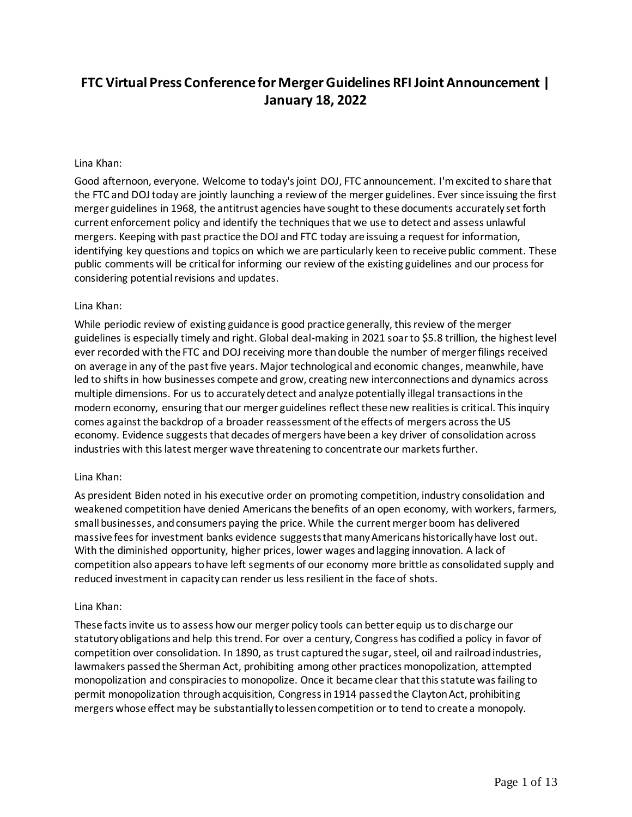# **FTC Virtual Press Conference for Merger Guidelines RFI Joint Announcement | January 18, 2022**

#### Lina Khan:

Good afternoon, everyone. Welcome to today's joint DOJ, FTC announcement. I'm excited to share that the FTC and DOJ today are jointly launching a review of the merger guidelines. Ever since issuing the first merger guidelines in 1968, the antitrust agencies have sought to these documents accurately set forth current enforcement policy and identify the techniques that we use to detect and assess unlawful mergers. Keeping with past practice the DOJ and FTC today are issuing a request for information, identifying key questions and topics on which we are particularly keen to receive public comment. These public comments will be critical for informing our review of the existing guidelines and our process for considering potential revisions and updates.

#### Lina Khan:

While periodic review of existing guidance is good practice generally, this review of the merger guidelines is especially timely and right. Global deal-making in 2021 soar to \$5.8 trillion, the highest level ever recorded with the FTC and DOJ receiving more than double the number of merger filings received on average in any of the past five years. Major technological and economic changes, meanwhile, have led to shifts in how businesses compete and grow, creating new interconnections and dynamics across multiple dimensions. For us to accurately detect and analyze potentially illegal transactions in the modern economy, ensuring that our merger guidelines reflect these new realities is critical. This inquiry comes against the backdrop of a broader reassessment of the effects of mergers across the US economy. Evidence suggests that decades of mergers have been a key driver of consolidation across industries with this latest merger wave threatening to concentrate our markets further.

### Lina Khan:

As president Biden noted in his executive order on promoting competition, industry consolidation and weakened competition have denied Americans the benefits of an open economy, with workers, farmers, small businesses, and consumers paying the price. While the current merger boom has delivered massive fees for investment banks evidence suggests that many Americans historically have lost out. With the diminished opportunity, higher prices, lower wages and lagging innovation. A lack of competition also appears to have left segments of our economy more brittle as consolidated supply and reduced investment in capacity can render us less resilient in the face of shots.

#### Lina Khan:

These facts invite us to assess how our merger policy tools can better equip us to dis charge our statutory obligations and help this trend. For over a century, Congress has codified a policy in favor of competition over consolidation. In 1890, as trust captured the sugar, steel, oil and railroad industries, lawmakers passed the Sherman Act, prohibiting among other practices monopolization, attempted monopolization and conspiracies to monopolize. Once it became clear that this statute was failing to permit monopolization through acquisition, Congress in 1914 passed the Clayton Act, prohibiting mergers whose effect may be substantially to lessen competition or to tend to create a monopoly.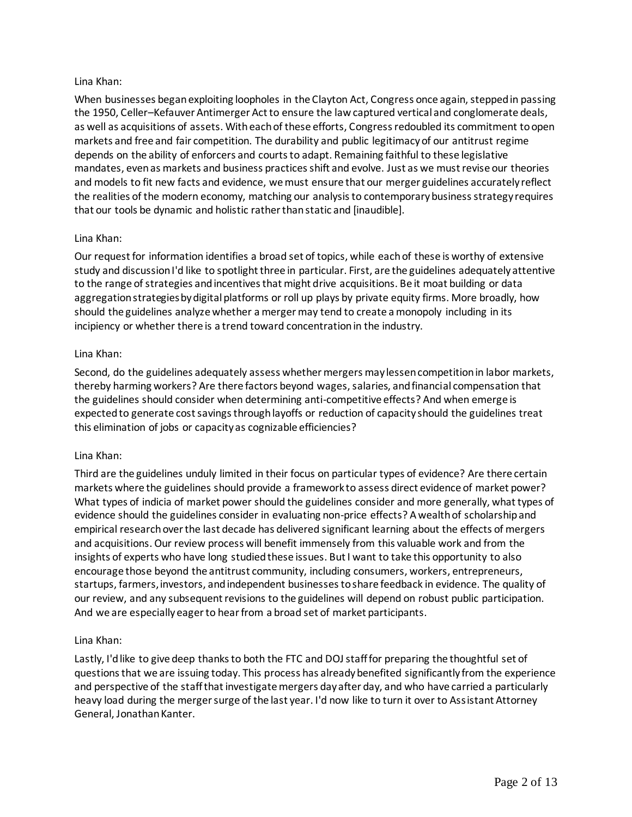### Lina Khan:

When businesses began exploiting loopholes in the Clayton Act, Congress once again, stepped in passing the 1950, Celler–Kefauver Antimerger Act to ensure the law captured vertical and conglomerate deals, as well as acquisitions of assets. With each of these efforts, Congress redoubled its commitment to open markets and free and fair competition. The durability and public legitimacy of our antitrust regime depends on the ability of enforcers and courts to adapt. Remaining faithful to these legislative mandates, even as markets and business practices shift and evolve. Just as we must revise our theories and models to fit new facts and evidence, we must ensure that our merger guidelines accurately reflect the realities of the modern economy, matching our analysis to contemporary business strategy requires that our tools be dynamic and holistic rather than static and [inaudible].

# Lina Khan:

Our request for information identifies a broad set of topics, while each of these is worthy of extensive study and discussion I'd like to spotlight three in particular. First, are the guidelines adequately attentive to the range of strategies and incentives that might drive acquisitions. Be it moat building or data aggregation strategies by digital platforms or roll up plays by private equity firms. More broadly, how should the guidelines analyze whether a merger may tend to create a monopoly including in its incipiency or whether there is a trend toward concentration in the industry.

### Lina Khan:

Second, do the guidelines adequately assess whether mergers may lessen competition in labor markets, thereby harming workers? Are there factors beyond wages, salaries, and financial compensation that the guidelines should consider when determining anti-competitive effects? And when emerge is expected to generate cost savings through layoffs or reduction of capacity should the guidelines treat this elimination of jobs or capacity as cognizable efficiencies?

### Lina Khan:

Third are the guidelines unduly limited in their focus on particular types of evidence? Are there certain markets where the guidelines should provide a framework to assess direct evidence of market power? What types of indicia of market power should the guidelines consider and more generally, what types of evidence should the guidelines consider in evaluating non-price effects? A wealth of scholarship and empirical research over the last decade has delivered significant learning about the effects of mergers and acquisitions. Our review process will benefit immensely from this valuable work and from the insights of experts who have long studied these issues. But I want to take this opportunity to also encourage those beyond the antitrust community, including consumers, workers, entrepreneurs, startups, farmers, investors, and independent businesses to share feedback in evidence. The quality of our review, and any subsequent revisions to the guidelines will depend on robust public participation. And we are especially eager to hear from a broad set of market participants.

# Lina Khan:

Lastly, I'd like to give deep thanks to both the FTC and DOJ staff for preparing the thoughtful set of questions that we are issuing today. This process has already benefited significantly from the experience and perspective of the staff that investigate mergers day after day, and who have carried a particularly heavy load during the merger surge of the last year. I'd now like to turn it over to Assistant Attorney General, Jonathan Kanter.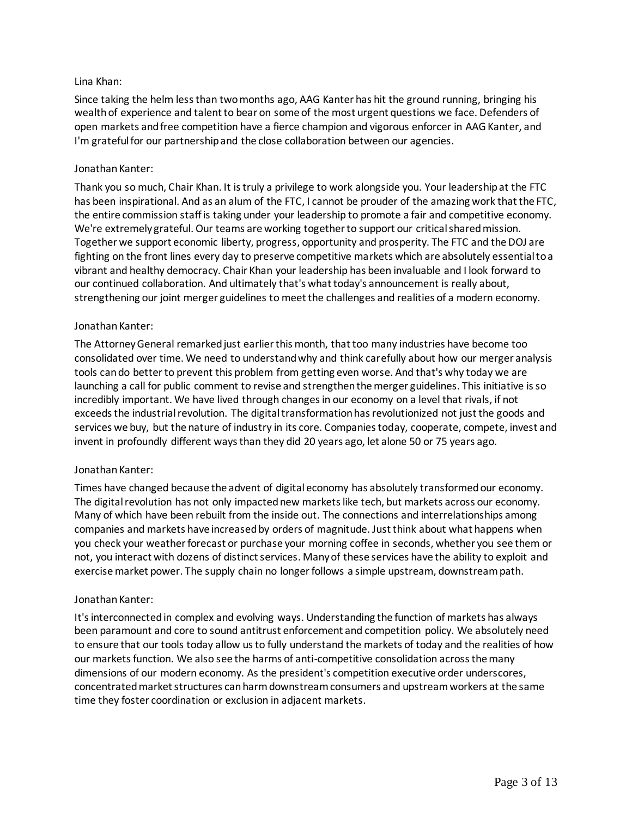### Lina Khan:

Since taking the helm less than two months ago, AAG Kanter has hit the ground running, bringing his wealth of experience and talent to bear on some of the most urgent questions we face. Defenders of open markets and free competition have a fierce champion and vigorous enforcer in AAG Kanter, and I'm grateful for our partnership and the close collaboration between our agencies.

### Jonathan Kanter:

Thank you so much, Chair Khan. It is truly a privilege to work alongside you. Your leadership at the FTC has been inspirational. And as an alum of the FTC, I cannot be prouder of the amazing work that the FTC, the entire commission staff is taking under your leadership to promote a fair and competitive economy. We're extremely grateful. Our teams are working together to support our critical shared mission. Together we support economic liberty, progress, opportunity and prosperity. The FTC and the DOJ are fighting on the front lines every day to preserve competitive markets which are absolutely essential to a vibrant and healthy democracy. Chair Khan your leadership has been invaluable and I look forward to our continued collaboration. And ultimately that's what today's announcement is really about, strengthening our joint merger guidelines to meet the challenges and realities of a modern economy.

### Jonathan Kanter:

The Attorney General remarked just earlier this month, that too many industries have become too consolidated over time. We need to understand why and think carefully about how our merger analysis tools can do better to prevent this problem from getting even worse. And that's why today we are launching a call for public comment to revise and strengthen the merger guidelines. This initiative is so incredibly important. We have lived through changes in our economy on a level that rivals, if not exceeds the industrial revolution. The digital transformation has revolutionized not just the goods and services we buy, but the nature of industry in its core. Companies today, cooperate, compete, invest and invent in profoundly different ways than they did 20 years ago, let alone 50 or 75 years ago.

### Jonathan Kanter:

Times have changed because the advent of digital economy has absolutely transformed our economy. The digital revolution has not only impacted new markets like tech, but markets across our economy. Many of which have been rebuilt from the inside out. The connections and interrelationships among companies and markets have increased by orders of magnitude. Just think about what happens when you check your weather forecast or purchase your morning coffee in seconds, whether you see them or not, you interact with dozens of distinct services. Many of these services have the ability to exploit and exercise market power. The supply chain no longer follows a simple upstream, downstream path.

### Jonathan Kanter:

It's interconnected in complex and evolving ways. Understanding the function of markets has always been paramount and core to sound antitrust enforcement and competition policy. We absolutely need to ensure that our tools today allow us to fully understand the markets of today and the realities of how our markets function. We also see the harms of anti-competitive consolidation across the many dimensions of our modern economy. As the president's competition executive order underscores, concentrated market structures can harm downstream consumers and upstream workers at the same time they foster coordination or exclusion in adjacent markets.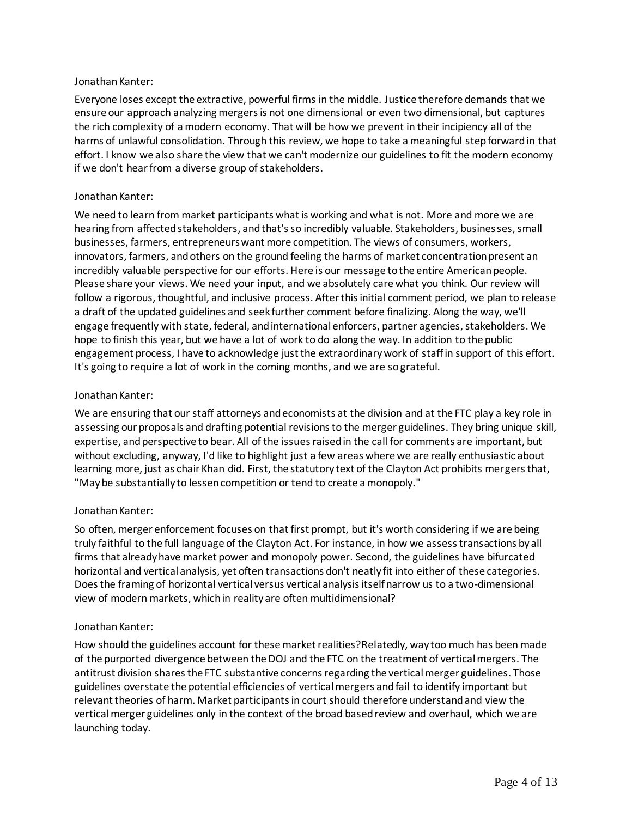### Jonathan Kanter:

Everyone loses except the extractive, powerful firms in the middle. Justice therefore demands that we ensure our approach analyzing mergers is not one dimensional or even two dimensional, but captures the rich complexity of a modern economy. That will be how we prevent in their incipiency all of the harms of unlawful consolidation. Through this review, we hope to take a meaningful step forward in that effort. I know we also share the view that we can't modernize our guidelines to fit the modern economy if we don't hear from a diverse group of stakeholders.

### Jonathan Kanter:

We need to learn from market participants what is working and what is not. More and more we are hearing from affected stakeholders, and that's so incredibly valuable. Stakeholders, businesses, small businesses, farmers, entrepreneurs want more competition. The views of consumers, workers, innovators, farmers, and others on the ground feeling the harms of market concentration present an incredibly valuable perspective for our efforts. Here is our message to the entire American people. Please share your views. We need your input, and we absolutely care what you think. Our review will follow a rigorous, thoughtful, and inclusive process. After this initial comment period, we plan to release a draft of the updated guidelines and seek further comment before finalizing. Along the way, we'll engage frequently with state, federal, and international enforcers, partner agencies, stakeholders. We hope to finish this year, but we have a lot of work to do along the way. In addition to the public engagement process, I have to acknowledge just the extraordinary work of staff in support of this effort. It's going to require a lot of work in the coming months, and we are so grateful.

# Jonathan Kanter:

We are ensuring that our staff attorneys and economists at the division and at the FTC play a key role in assessing our proposals and drafting potential revisions to the merger guidelines. They bring unique skill, expertise, and perspective to bear. All of the issues raised in the call for comments are important, but without excluding, anyway, I'd like to highlight just a few areas where we are really enthusiastic about learning more, just as chair Khan did. First, the statutory text of the Clayton Act prohibits mergers that, "May be substantially to lessen competition or tend to create a monopoly."

### Jonathan Kanter:

So often, merger enforcement focuses on that first prompt, but it's worth considering if we are being truly faithful to the full language of the Clayton Act. For instance, in how we assess transactions by all firms that already have market power and monopoly power. Second, the guidelines have bifurcated horizontal and vertical analysis, yet often transactions don't neatly fit into either of these categories. Does the framing of horizontal vertical versus vertical analysis itself narrow us to a two-dimensional view of modern markets, which in reality are often multidimensional?

# Jonathan Kanter:

How should the guidelines account for these market realities?Relatedly, way too much has been made of the purported divergence between the DOJ and the FTC on the treatment of vertical mergers. The antitrust division shares the FTC substantive concerns regarding the vertical merger guidelines. Those guidelines overstate the potential efficiencies of vertical mergers and fail to identify important but relevant theories of harm. Market participants in court should therefore understand and view the vertical merger guidelines only in the context of the broad based review and overhaul, which we are launching today.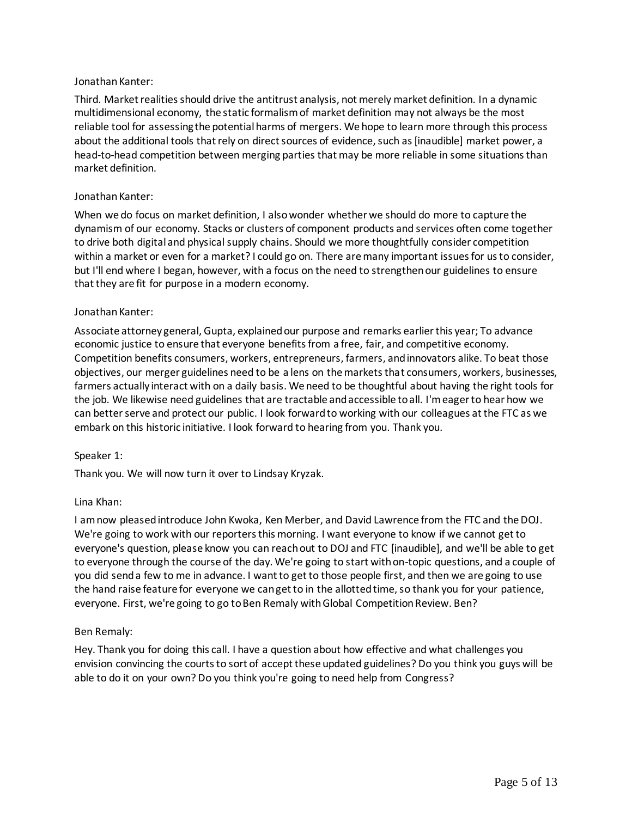### Jonathan Kanter:

Third. Market realities should drive the antitrust analysis, not merely market definition. In a dynamic multidimensional economy, the static formalism of market definition may not always be the most reliable tool for assessing the potential harms of mergers. We hope to learn more through this process about the additional tools that rely on direct sources of evidence, such as [inaudible] market power, a head-to-head competition between merging parties that may be more reliable in some situations than market definition.

### Jonathan Kanter:

When we do focus on market definition, I also wonder whether we should do more to capture the dynamism of our economy. Stacks or clusters of component products and services often come together to drive both digital and physical supply chains. Should we more thoughtfully consider competition within a market or even for a market? I could go on. There are many important issues for us to consider, but I'll end where I began, however, with a focus on the need to strengthen our guidelines to ensure that they are fit for purpose in a modern economy.

### Jonathan Kanter:

Associate attorney general, Gupta, explained our purpose and remarks earlier this year; To advance economic justice to ensure that everyone benefits from a free, fair, and competitive economy. Competition benefits consumers, workers, entrepreneurs, farmers, and innovators alike. To beat those objectives, our merger guidelines need to be a lens on the markets that consumers, workers, businesses, farmers actually interact with on a daily basis. We need to be thoughtful about having the right tools for the job. We likewise need guidelines that are tractable and accessible to all. I'm eager to hear how we can better serve and protect our public. I look forward to working with our colleagues at the FTC as we embark on this historic initiative. I look forward to hearing from you. Thank you.

### Speaker 1:

Thank you. We will now turn it over to Lindsay Kryzak.

### Lina Khan:

I am now pleased introduce John Kwoka, Ken Merber, and David Lawrence from the FTC and the DOJ. We're going to work with our reporters this morning. I want everyone to know if we cannot get to everyone's question, please know you can reach out to DOJ and FTC [inaudible], and we'll be able to get to everyone through the course of the day. We're going to start with on-topic questions, and a couple of you did send a few to me in advance. I want to get to those people first, and then we are going to use the hand raise feature for everyone we can get to in the allotted time, so thank you for your patience, everyone. First, we're going to go to Ben Remaly with Global Competition Review. Ben?

### Ben Remaly:

Hey. Thank you for doing this call. I have a question about how effective and what challenges you envision convincing the courts to sort of accept these updated guidelines? Do you think you guys will be able to do it on your own? Do you think you're going to need help from Congress?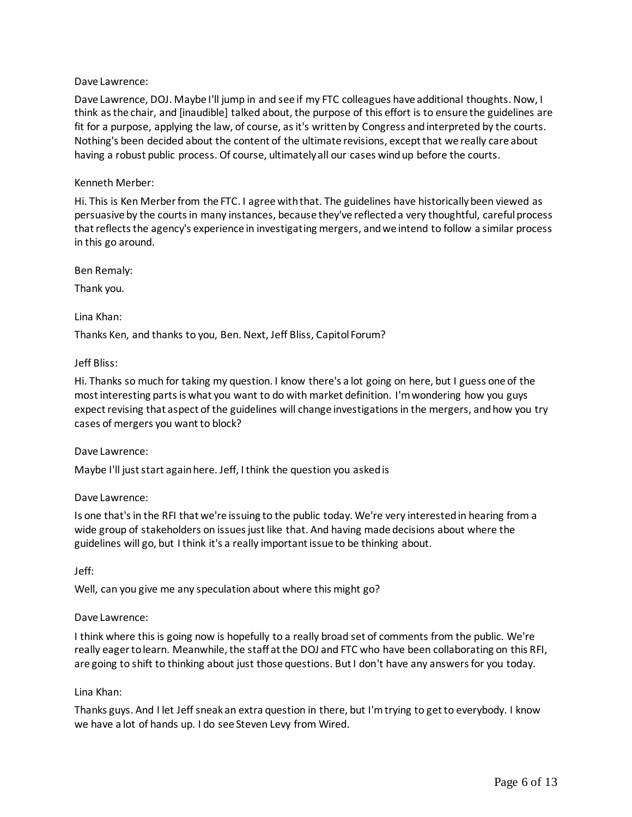### Dave Lawrence:

Dave Lawrence, DOJ. Maybe I'll jump in and see if my FTC colleagues have additional thoughts. Now, I think as the chair, and [inaudible] talked about, the purpose of this effort is to ensure the guidelines are fit for a purpose, applying the law, of course, as it's written by Congress and interpreted by the courts. Nothing's been decided about the content of the ultimate revisions, except that we really care about having a robust public process. Of course, ultimately all our cases wind up before the courts.

### Kenneth Merber:

Hi. This is Ken Merber from the FTC. I agree with that. The guidelines have historically been viewed as persuasive by the courts in many instances, because they've reflected a very thoughtful, careful process that reflects the agency's experience in investigating mergers, and we intend to follow a similar process in this go around.

Ben Remaly:

Thank you.

Lina Khan:

Thanks Ken, and thanks to you, Ben. Next, Jeff Bliss, Capitol Forum?

# Jeff Bliss:

Hi. Thanks so much for taking my question. I know there's a lot going on here, but I guess one of the most interesting parts is what you want to do with market definition. I'm wondering how you guys expect revising that aspect of the guidelines will change investigations in the mergers, and how you try cases of mergers you want to block?

### Dave Lawrence:

Maybe I'll just start again here. Jeff, I think the question you asked is

### Dave Lawrence:

Is one that's in the RFI that we're issuing to the public today. We're very interested in hearing from a wide group of stakeholders on issues just like that. And having made decisions about where the guidelines will go, but I think it's a really important issue to be thinking about.

Jeff:

Well, can you give me any speculation about where this might go?

### Dave Lawrence:

I think where thisis going now is hopefully to a really broad set of comments from the public. We're really eager to learn. Meanwhile, the staff at the DOJ and FTC who have been collaborating on this RFI, are going to shift to thinking about just those questions. But I don't have any answers for you today.

### Lina Khan:

Thanks guys. And I let Jeff sneak an extra question in there, but I'm trying to get to everybody. I know we have a lot of hands up. I do see Steven Levy from Wired.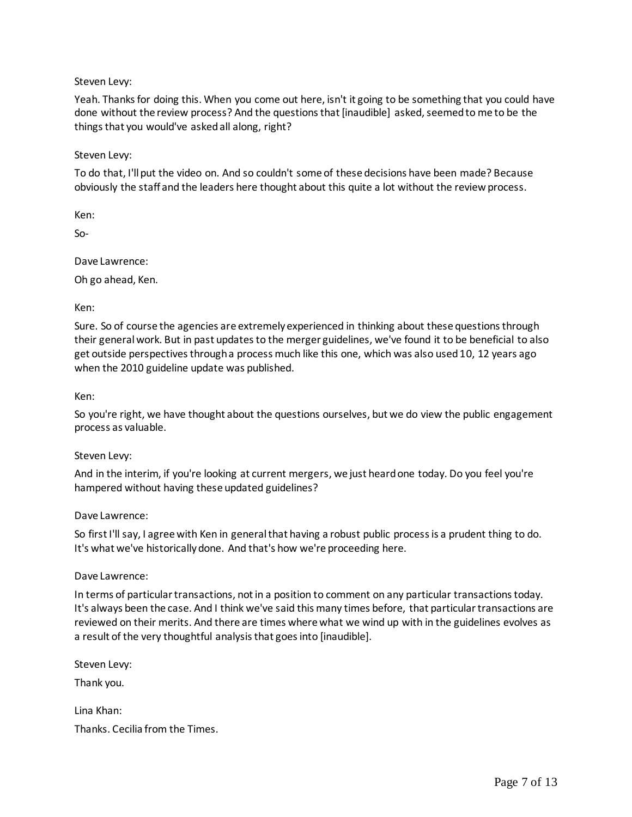Steven Levy:

Yeah. Thanks for doing this. When you come out here, isn't it going to be something that you could have done without the review process? And the questions that [inaudible] asked, seemed to me to be the things that you would've asked all along, right?

Steven Levy:

To do that, I'll put the video on. And so couldn't some of these decisions have been made? Because obviously the staff and the leaders here thought about this quite a lot without the review process.

Ken:

So-

Dave Lawrence:

Oh go ahead, Ken.

Ken:

Sure. So of course the agencies are extremely experienced in thinking about these questions through their general work. But in past updates to the merger guidelines, we've found it to be beneficial to also get outside perspectives through a process much like this one, which was also used 10, 12 years ago when the 2010 guideline update was published.

Ken:

So you're right, we have thought about the questions ourselves, but we do view the public engagement process as valuable.

### Steven Levy:

And in the interim, if you're looking at current mergers, we just heard one today. Do you feel you're hampered without having these updated guidelines?

Dave Lawrence:

So first I'll say, I agree with Ken in general that having a robust public process is a prudent thing to do. It's what we've historically done. And that's how we're proceeding here.

### Dave Lawrence:

In terms of particular transactions, not in a position to comment on any particular transactions today. It's always been the case. And I think we've said this many times before, that particular transactions are reviewed on their merits. And there are times where what we wind up with in the guidelines evolves as a result of the very thoughtful analysis that goes into [inaudible].

Steven Levy:

Thank you.

Lina Khan: Thanks. Cecilia from the Times.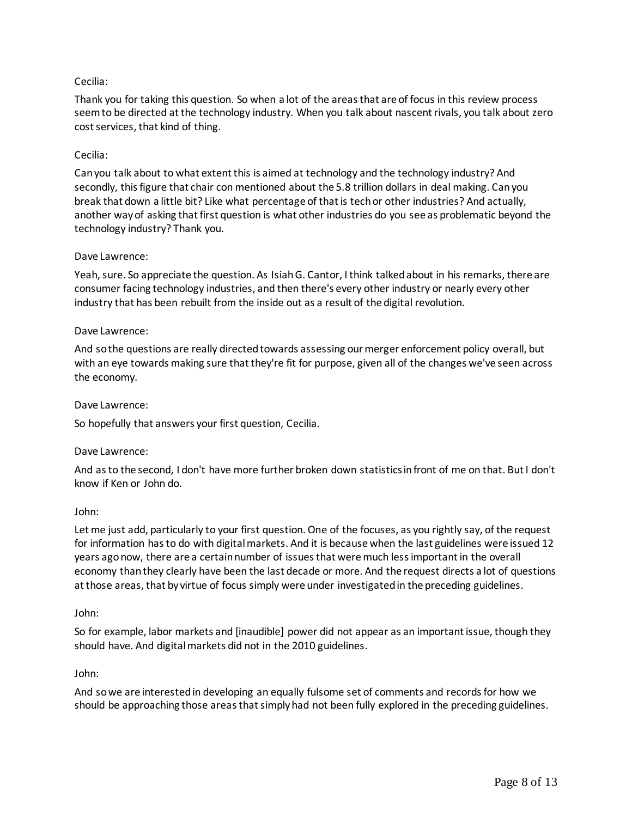# Cecilia:

Thank you for taking this question. So when a lot of the areas that are of focus in this review process seem to be directed at the technology industry. When you talk about nascent rivals, you talk about zero cost services, that kind of thing.

### Cecilia:

Can you talk about to what extent this is aimed at technology and the technology industry? And secondly, this figure that chair con mentioned about the 5.8 trillion dollars in deal making. Can you break that down a little bit? Like what percentage of that is tech or other industries? And actually, another way of asking that first question is what other industries do you see as problematic beyond the technology industry? Thank you.

#### Dave Lawrence:

Yeah, sure. So appreciate the question. As Isiah G. Cantor, I think talked about in his remarks, there are consumer facing technology industries, and then there's every other industry or nearly every other industry that has been rebuilt from the inside out as a result of the digital revolution.

#### Dave Lawrence:

And so the questions are really directed towards assessing our merger enforcement policy overall, but with an eye towards making sure that they're fit for purpose, given all of the changes we've seen across the economy.

#### Dave Lawrence:

So hopefully that answers your first question, Cecilia.

#### Dave Lawrence:

And as to the second, I don't have more further broken down statistics in front of me on that. But I don't know if Ken or John do.

#### John:

Let me just add, particularly to your first question. One of the focuses, as you rightly say, of the request for information has to do with digital markets. And it is because when the last guidelines were issued 12 years ago now, there are a certain number of issues that were much less important in the overall economy than they clearly have been the last decade or more. And the request directs a lot of questions at those areas, that by virtue of focus simply were under investigated in the preceding guidelines.

#### John:

So for example, labor markets and [inaudible] power did not appear as an important issue, though they should have. And digital markets did not in the 2010 guidelines.

#### John:

And so we are interested in developing an equally fulsome set of comments and records for how we should be approaching those areas that simply had not been fully explored in the preceding guidelines.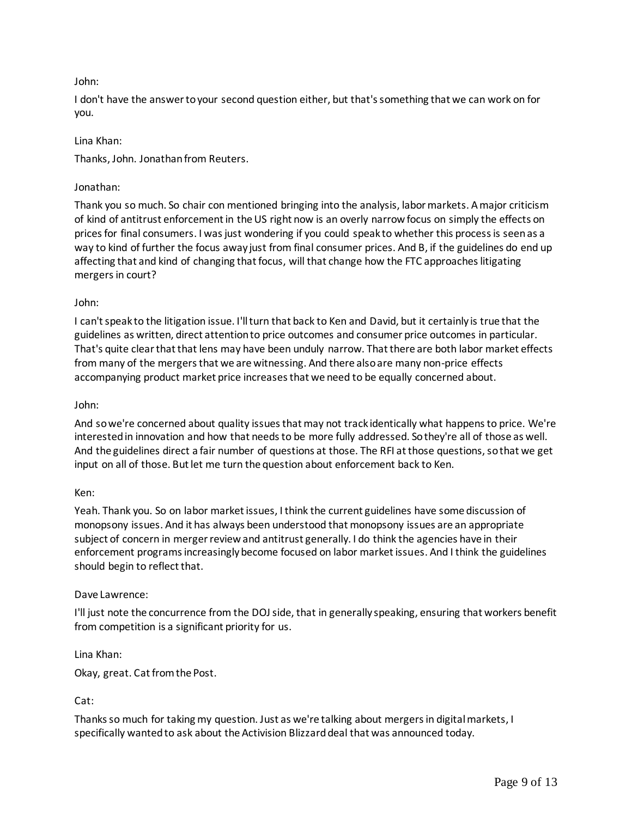# John:

I don't have the answer to your second question either, but that's something that we can work on for you.

### Lina Khan:

Thanks, John. Jonathan from Reuters.

# Jonathan:

Thank you so much. So chair con mentioned bringing into the analysis, labor markets. A major criticism of kind of antitrust enforcement in the US right now is an overly narrow focus on simply the effects on prices for final consumers. I was just wondering if you could speak to whether this process is seen as a way to kind of further the focus away just from final consumer prices. And B, if the guidelines do end up affecting that and kind of changing that focus, will that change how the FTC approaches litigating mergers in court?

# John:

I can't speak to the litigation issue. I'll turn that back to Ken and David, but it certainly is true that the guidelines as written, direct attention to price outcomes and consumer price outcomes in particular. That's quite clear that that lens may have been unduly narrow. That there are both labor market effects from many of the mergers that we are witnessing. And there also are many non-price effects accompanying product market price increases that we need to be equally concerned about.

### John:

And so we're concerned about quality issues that may not track identically what happens to price. We're interested in innovation and how that needs to be more fully addressed. So they're all of those as well. And the guidelines direct a fair number of questions at those. The RFI at those questions, so that we get input on all of those. But let me turn the question about enforcement back to Ken.

### Ken:

Yeah. Thank you. So on labor market issues, I think the current guidelines have some discussion of monopsony issues. And it has always been understood that monopsony issues are an appropriate subject of concern in merger review and antitrust generally. I do think the agencies have in their enforcement programs increasingly become focused on labor market issues. And I think the guidelines should begin to reflect that.

### Dave Lawrence:

I'll just note the concurrence from the DOJ side, that in generally speaking, ensuring that workers benefit from competition is a significant priority for us.

Lina Khan:

Okay, great. Cat from the Post.

### Cat:

Thanks so much for taking my question. Just as we're talking about mergers in digital markets, I specifically wanted to ask about the Activision Blizzard deal that was announced today.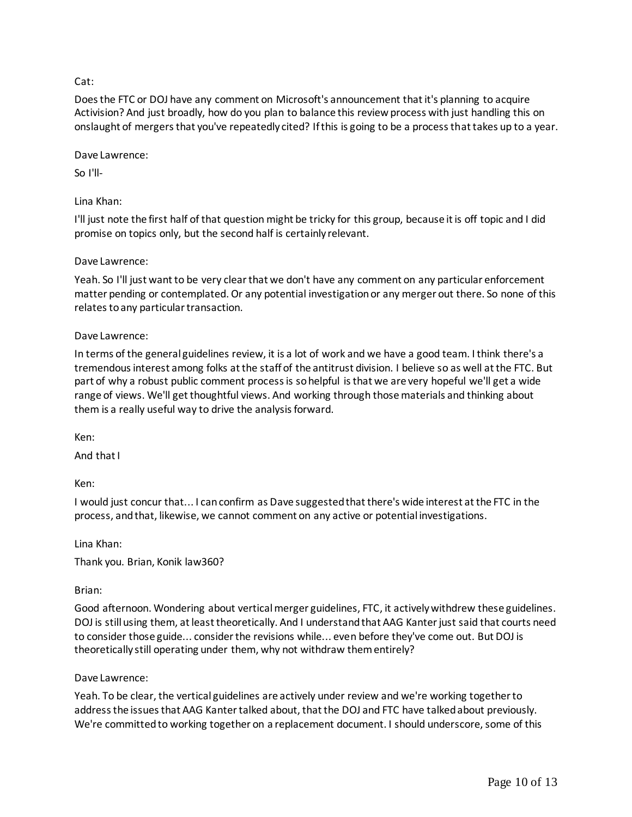# Cat:

Does the FTC or DOJ have any comment on Microsoft's announcement that it's planning to acquire Activision? And just broadly, how do you plan to balance this review process with just handling this on onslaught of mergers that you've repeatedly cited? If this is going to be a process that takes up to a year.

Dave Lawrence:

So I'll-

# Lina Khan:

I'll just note the first half of that question might be tricky for this group, because it is off topic and I did promise on topics only, but the second half is certainly relevant.

# Dave Lawrence:

Yeah. So I'll just want to be very clear that we don't have any comment on any particular enforcement matter pending or contemplated. Or any potential investigation or any merger out there. So none of this relates to any particular transaction.

# Dave Lawrence:

In terms of the general guidelines review, it is a lot of work and we have a good team. I think there's a tremendous interest among folks at the staff of the antitrust division. I believe so as well at the FTC. But part of why a robust public comment process is so helpful is that we are very hopeful we'll get a wide range of views. We'll get thoughtful views. And working through those materials and thinking about them is a really useful way to drive the analysis forward.

Ken:

And that I

Ken:

I would just concur that... I can confirm as Dave suggested that there's wide interest at the FTC in the process, and that, likewise, we cannot comment on any active or potential investigations.

Lina Khan:

Thank you. Brian, Konik law360?

# Brian:

Good afternoon. Wondering about vertical merger guidelines, FTC, it actively withdrew these guidelines. DOJ is still using them, at least theoretically. And I understand that AAG Kanter just said that courts need to consider those guide... consider the revisions while... even before they've come out. But DOJ is theoretically still operating under them, why not withdraw them entirely?

# Dave Lawrence:

Yeah. To be clear, the vertical guidelines are actively under review and we're working together to address the issues that AAG Kanter talked about, that the DOJ and FTC have talked about previously. We're committed to working together on a replacement document. I should underscore, some of this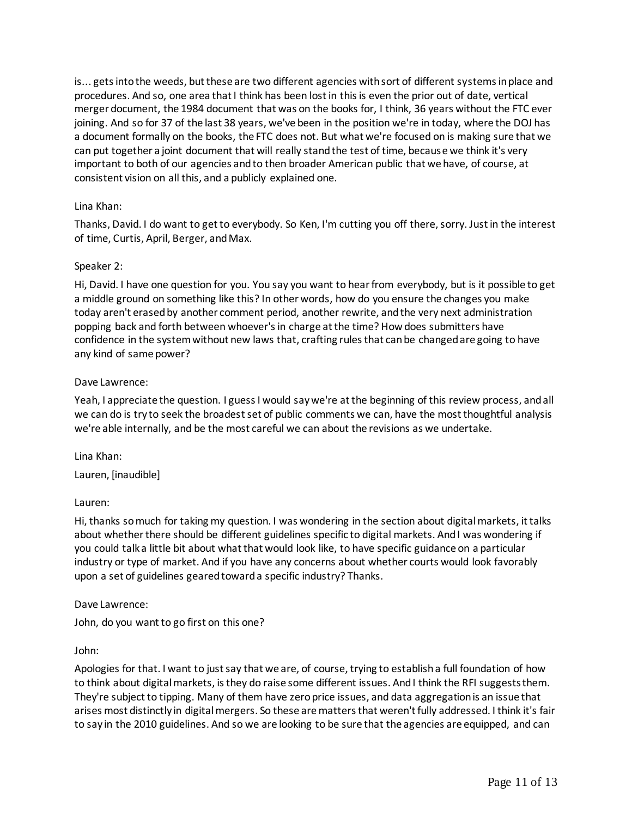is... gets into the weeds, but these are two different agencies with sort of different systems in place and procedures. And so, one area that I think has been lost in this is even the prior out of date, vertical merger document, the 1984 document that was on the books for, I think, 36 years without the FTC ever joining. And so for 37 of the last 38 years, we've been in the position we're in today, where the DOJ has a document formally on the books, the FTC does not. But what we're focused on is making sure that we can put together a joint document that will really stand the test of time, because we think it's very important to both of our agencies and to then broader American public that we have, of course, at consistent vision on all this, and a publicly explained one.

### Lina Khan:

Thanks, David. I do want to get to everybody. So Ken, I'm cutting you off there, sorry. Just in the interest of time, Curtis, April, Berger, and Max.

### Speaker 2:

Hi, David. I have one question for you. You say you want to hear from everybody, but is it possible to get a middle ground on something like this? In other words, how do you ensure the changes you make today aren't erased by another comment period, another rewrite, and the very next administration popping back and forth between whoever's in charge at the time? How does submitters have confidence in the system without new laws that, crafting rules that can be changed are going to have any kind of same power?

### Dave Lawrence:

Yeah, I appreciate the question. I guess I would say we're at the beginning of this review process, and all we can do is try to seek the broadest set of public comments we can, have the most thoughtful analysis we're able internally, and be the most careful we can about the revisions as we undertake.

Lina Khan: Lauren, [inaudible]

### Lauren:

Hi, thanks so much for taking my question. I was wondering in the section about digital markets, it talks about whether there should be different guidelines specific to digital markets. And I was wondering if you could talk a little bit about what that would look like, to have specific guidance on a particular industry or type of market. And if you have any concerns about whether courts would look favorably upon a set of guidelines geared toward a specific industry? Thanks.

### Dave Lawrence:

John, do you want to go first on this one?

#### John:

Apologies for that. I want to just say that we are, of course, trying to establish a full foundation of how to think about digital markets, is they do raise some different issues. And I think the RFI suggests them. They're subject to tipping. Many of them have zero price issues, and data aggregation is an issue that arises most distinctly in digital mergers. So these are matters that weren't fully addressed. I think it's fair to say in the 2010 guidelines. And so we are looking to be sure that the agencies are equipped, and can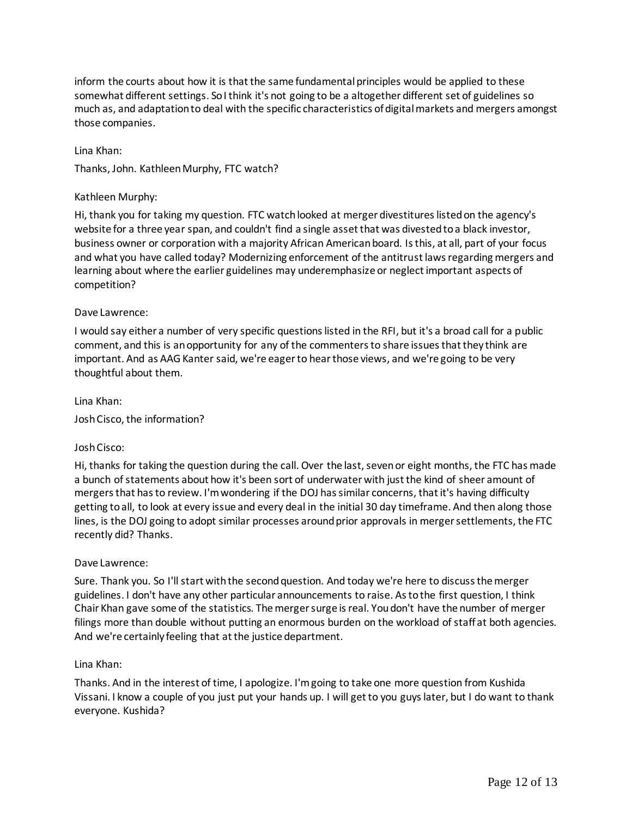inform the courts about how it is that the same fundamental principles would be applied to these somewhat different settings. So I think it's not going to be a altogether different set of guidelines so much as, and adaptation to deal with the specific characteristics of digital markets and mergers amongst those companies.

Lina Khan:

Thanks, John. Kathleen Murphy, FTC watch?

#### Kathleen Murphy:

Hi, thank you for taking my question. FTC watch looked at merger divestitures listed on the agency's website for a three year span, and couldn't find a single asset that was divested to a black investor, business owner or corporation with a majority African American board. Is this, at all, part of your focus and what you have called today? Modernizing enforcement of the antitrust laws regarding mergers and learning about where the earlier guidelines may underemphasize or neglect important aspects of competition?

#### Dave Lawrence:

I would say either a number of very specific questions listed in the RFI, but it's a broad call for a public comment, and this is an opportunity for any of the commenters to share issues that they think are important. And as AAG Kanter said, we're eager to hear those views, and we're going to be very thoughtful about them.

Lina Khan:

Josh Cisco, the information?

#### Josh Cisco:

Hi, thanks for taking the question during the call. Over the last, seven or eight months, the FTC has made a bunch of statements about how it's been sort of underwater with just the kind of sheer amount of mergers that has to review. I'm wondering if the DOJ has similar concerns, that it's having difficulty getting to all, to look at every issue and every deal in the initial 30 day timeframe. And then along those lines, is the DOJ going to adopt similar processes around prior approvals in merger settlements, the FTC recently did? Thanks.

#### Dave Lawrence:

Sure. Thank you. So I'll start with the second question. And today we're here to discuss the merger guidelines. I don't have any other particular announcements to raise. As to the first question, I think Chair Khan gave some of the statistics. The merger surge is real. You don't have the number of merger filings more than double without putting an enormous burden on the workload of staff at both agencies. And we're certainly feeling that at the justice department.

#### Lina Khan:

Thanks. And in the interest of time, I apologize. I'm going to take one more question from Kushida Vissani. I know a couple of you just put your hands up. I will get to you guys later, but I do want to thank everyone. Kushida?